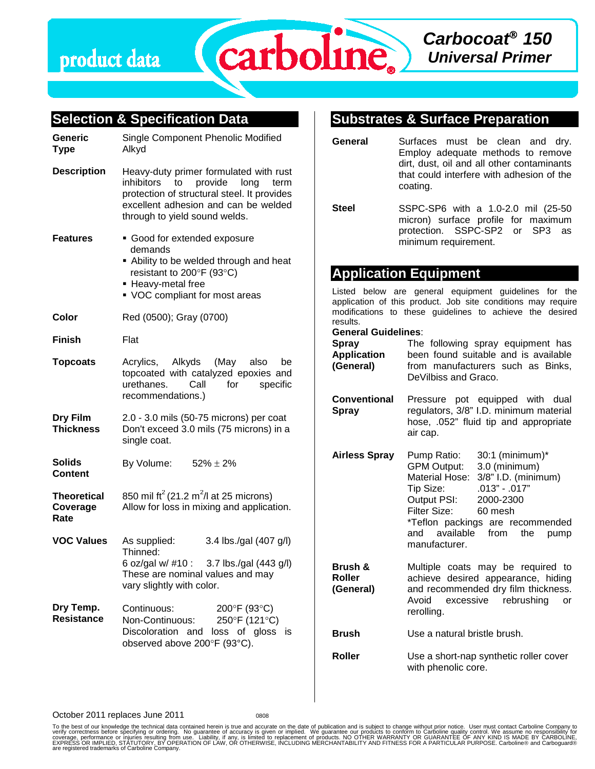

#### **Selection & Specification Data Generic Type** Single Component Phenolic Modified Alkyd **Description** Heavy-duty primer formulated with rust inhibitors to provide long term protection of structural steel. It provides excellent adhesion and can be welded through to yield sound welds. **Features** Good for extended exposure demands Ability to be welded through and heat resistant to 200°F (93°C) ■ Heavy-metal free VOC compliant for most areas **Color** Red (0500); Gray (0700) **Finish** Flat **Topcoats** Acrylics, Alkyds (May also be topcoated with catalyzed epoxies and urethanes. Call for specific recommendations.) **Dry Film Thickness** 2.0 - 3.0 mils (50-75 microns) per coat Don't exceed 3.0 mils (75 microns) in a single coat. **Solids Content** By Volume:  $52\% \pm 2\%$ **Theoretical Coverage Rate** 850 mil ft $^2$  (21.2 m $^2$ /l at 25 microns) Allow for loss in mixing and application. **VOC Values** As supplied: 3.4 lbs./gal (407 g/l) Thinned: 6 oz/gal w/ #10 : 3.7 lbs./gal (443 g/l) These are nominal values and may vary slightly with color. **Dry Temp. Resistance** Continuous: 200°F (93°C) Non-Continuous: 250°F (121°C) Discoloration and loss of gloss is observed above 200°F (93°C). **Substrates & Surface Preparation General** Surfaces must be clean and dry. Employ adequate methods to remove dirt, dust, oil and all other contaminants that could interfere with adhesion of the coating. **Steel** SSPC-SP6 with a 1.0-2.0 mil (25-50 micron) surface profile for maximum protection. SSPC-SP2 or SP3 as minimum requirement. **Application Equipment** Listed below are general equipment guidelines for the application of this product. Job site conditions may require modifications to these guidelines to achieve the desired results. **General Guidelines**: **Spray Application (General)** The following spray equipment has been found suitable and is available from manufacturers such as Binks, DeVilbiss and Graco. **Conventional Spray** Pressure pot equipped with dual regulators, 3/8" I.D. minimum material hose, .052" fluid tip and appropriate air cap. **Airless Spray** Pump Ratio: 30:1 (minimum)\* GPM Output: 3.0 (minimum) Material Hose: 3/8" I.D. (minimum) Tip Size: .013" - .017" Output PSI: 2000-2300 Filter Size: 60 mesh \*Teflon packings are recommended and available from the pump manufacturer. **Brush & Roller (General)** Multiple coats may be required to achieve desired appearance, hiding and recommended dry film thickness. Avoid excessive rebrushing or rerolling. **Brush** Use a natural bristle brush. **Roller** Use a short-nap synthetic roller cover with phenolic core.

October 2011 replaces June 2011

To the best of our knowledge the technical data contained herein is true and accurate on the date of publication and is subject to change without prior notice. User must contact Carboline Company to<br>verify correctness bef EXPRESS OR IMPLIED, STATUTORY, BY OPERATION OF LAW, OR OTHERWISE, INCLUDING MERCHANTABILITY AND FITNESS FOR A PARTICULAR PURPOSE. Carboline® and Carboguard®<br>are registered trademarks of Carboline Company.